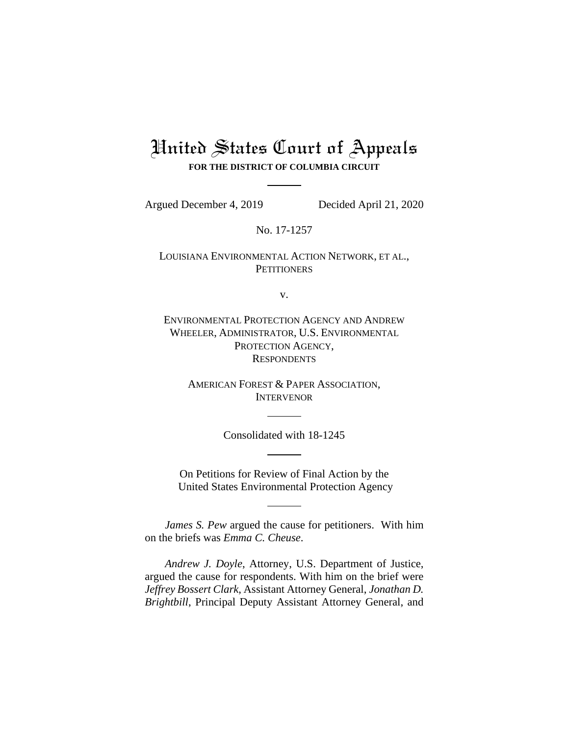# United States Court of Appeals **FOR THE DISTRICT OF COLUMBIA CIRCUIT**

Argued December 4, 2019 Decided April 21, 2020

No. 17-1257

LOUISIANA ENVIRONMENTAL ACTION NETWORK, ET AL., **PETITIONERS** 

v.

ENVIRONMENTAL PROTECTION AGENCY AND ANDREW WHEELER, ADMINISTRATOR, U.S. ENVIRONMENTAL PROTECTION AGENCY, **RESPONDENTS** 

> AMERICAN FOREST & PAPER ASSOCIATION, INTERVENOR

> > Consolidated with 18-1245

On Petitions for Review of Final Action by the United States Environmental Protection Agency

*James S. Pew* argued the cause for petitioners. With him on the briefs was *Emma C. Cheuse*.

*Andrew J. Doyle*, Attorney, U.S. Department of Justice, argued the cause for respondents. With him on the brief were *Jeffrey Bossert Clark*, Assistant Attorney General, *Jonathan D. Brightbill*, Principal Deputy Assistant Attorney General, and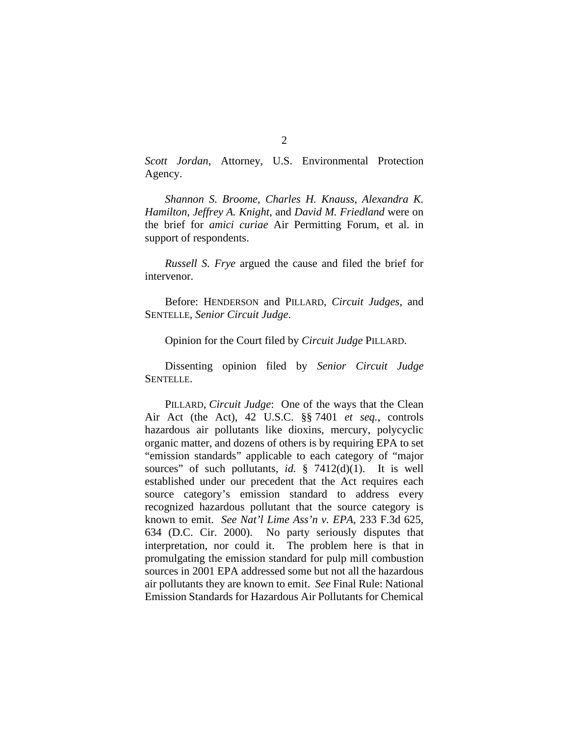*Scott Jordan*, Attorney, U.S. Environmental Protection Agency.

*Shannon S. Broome*, *Charles H. Knauss*, *Alexandra K. Hamilton*, *Jeffrey A. Knight*, and *David M. Friedland* were on the brief for *amici curiae* Air Permitting Forum, et al. in support of respondents.

*Russell S. Frye* argued the cause and filed the brief for intervenor.

Before: HENDERSON and PILLARD, *Circuit Judges*, and SENTELLE, *Senior Circuit Judge*.

Opinion for the Court filed by *Circuit Judge* PILLARD.

Dissenting opinion filed by *Senior Circuit Judge*  SENTELLE.

PILLARD, *Circuit Judge*: One of the ways that the Clean Air Act (the Act), 42 U.S.C. §§ 7401 *et seq.*, controls hazardous air pollutants like dioxins, mercury, polycyclic organic matter, and dozens of others is by requiring EPA to set "emission standards" applicable to each category of "major sources" of such pollutants, *id.* § 7412(d)(1). It is well established under our precedent that the Act requires each source category's emission standard to address every recognized hazardous pollutant that the source category is known to emit. *See Nat'l Lime Ass'n v. EPA*, 233 F.3d 625, 634 (D.C. Cir. 2000). No party seriously disputes that interpretation, nor could it. The problem here is that in promulgating the emission standard for pulp mill combustion sources in 2001 EPA addressed some but not all the hazardous air pollutants they are known to emit. *See* Final Rule: National Emission Standards for Hazardous Air Pollutants for Chemical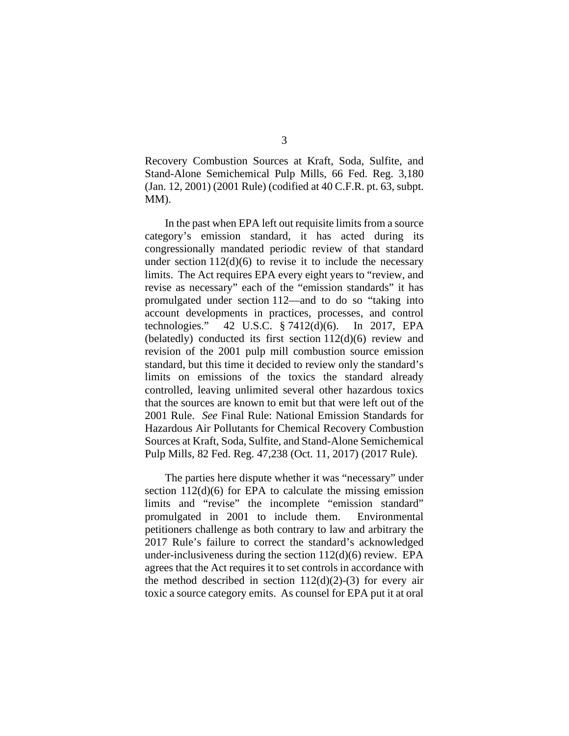Recovery Combustion Sources at Kraft, Soda, Sulfite, and Stand-Alone Semichemical Pulp Mills, 66 Fed. Reg. 3,180 (Jan. 12, 2001) (2001 Rule) (codified at 40 C.F.R. pt. 63, subpt. MM).

In the past when EPA left out requisite limits from a source category's emission standard, it has acted during its congressionally mandated periodic review of that standard under section  $112(d)(6)$  to revise it to include the necessary limits. The Act requires EPA every eight years to "review, and revise as necessary" each of the "emission standards" it has promulgated under section 112—and to do so "taking into account developments in practices, processes, and control technologies." 42 U.S.C. § 7412(d)(6). In 2017, EPA (belatedly) conducted its first section 112(d)(6) review and revision of the 2001 pulp mill combustion source emission standard, but this time it decided to review only the standard's limits on emissions of the toxics the standard already controlled, leaving unlimited several other hazardous toxics that the sources are known to emit but that were left out of the 2001 Rule. *See* Final Rule: National Emission Standards for Hazardous Air Pollutants for Chemical Recovery Combustion Sources at Kraft, Soda, Sulfite, and Stand-Alone Semichemical Pulp Mill*s*, 82 Fed. Reg. 47,238 (Oct. 11, 2017) (2017 Rule).

The parties here dispute whether it was "necessary" under section  $112(d)(6)$  for EPA to calculate the missing emission limits and "revise" the incomplete "emission standard" promulgated in 2001 to include them. Environmental petitioners challenge as both contrary to law and arbitrary the 2017 Rule's failure to correct the standard's acknowledged under-inclusiveness during the section  $112(d)(6)$  review. EPA agrees that the Act requires it to set controls in accordance with the method described in section  $112(d)(2)-(3)$  for every air toxic a source category emits. As counsel for EPA put it at oral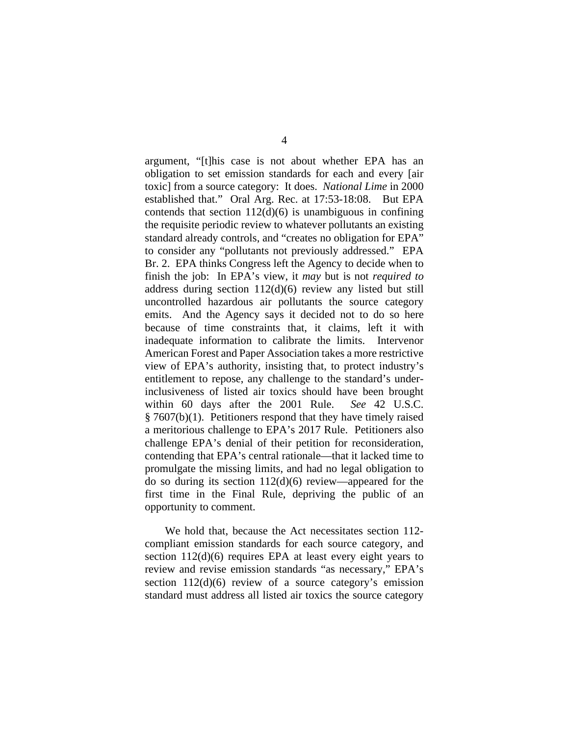argument, "[t]his case is not about whether EPA has an obligation to set emission standards for each and every [air toxic] from a source category: It does. *National Lime* in 2000 established that." Oral Arg. Rec. at 17:53-18:08. But EPA contends that section  $112(d)(6)$  is unambiguous in confining the requisite periodic review to whatever pollutants an existing standard already controls, and "creates no obligation for EPA" to consider any "pollutants not previously addressed." EPA Br. 2. EPA thinks Congress left the Agency to decide when to finish the job: In EPA's view, it *may* but is not *required to* address during section 112(d)(6) review any listed but still uncontrolled hazardous air pollutants the source category emits. And the Agency says it decided not to do so here because of time constraints that, it claims, left it with inadequate information to calibrate the limits. Intervenor American Forest and Paper Association takes a more restrictive view of EPA's authority, insisting that, to protect industry's entitlement to repose, any challenge to the standard's underinclusiveness of listed air toxics should have been brought within 60 days after the 2001 Rule. *See* 42 U.S.C. § 7607(b)(1). Petitioners respond that they have timely raised a meritorious challenge to EPA's 2017 Rule. Petitioners also challenge EPA's denial of their petition for reconsideration, contending that EPA's central rationale—that it lacked time to promulgate the missing limits, and had no legal obligation to do so during its section 112(d)(6) review—appeared for the first time in the Final Rule, depriving the public of an opportunity to comment.

We hold that, because the Act necessitates section 112 compliant emission standards for each source category, and section 112(d)(6) requires EPA at least every eight years to review and revise emission standards "as necessary," EPA's section 112(d)(6) review of a source category's emission standard must address all listed air toxics the source category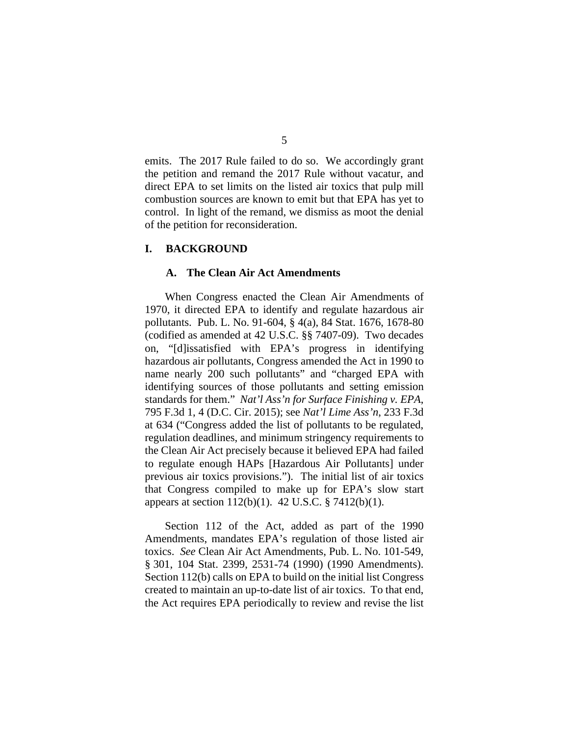emits. The 2017 Rule failed to do so. We accordingly grant the petition and remand the 2017 Rule without vacatur, and direct EPA to set limits on the listed air toxics that pulp mill combustion sources are known to emit but that EPA has yet to control. In light of the remand, we dismiss as moot the denial of the petition for reconsideration.

#### **I. BACKGROUND**

#### **A. The Clean Air Act Amendments**

When Congress enacted the Clean Air Amendments of 1970, it directed EPA to identify and regulate hazardous air pollutants. Pub. L. No. 91-604, § 4(a), 84 Stat. 1676, 1678-80 (codified as amended at 42 U.S.C. §§ 7407-09). Two decades on, "[d]issatisfied with EPA's progress in identifying hazardous air pollutants, Congress amended the Act in 1990 to name nearly 200 such pollutants" and "charged EPA with identifying sources of those pollutants and setting emission standards for them." *Nat'l Ass'n for Surface Finishing v. EPA*, 795 F.3d 1, 4 (D.C. Cir. 2015); see *Nat'l Lime Ass'n*, 233 F.3d at 634 ("Congress added the list of pollutants to be regulated, regulation deadlines, and minimum stringency requirements to the Clean Air Act precisely because it believed EPA had failed to regulate enough HAPs [Hazardous Air Pollutants] under previous air toxics provisions."). The initial list of air toxics that Congress compiled to make up for EPA's slow start appears at section 112(b)(1). 42 U.S.C. § 7412(b)(1).

Section 112 of the Act, added as part of the 1990 Amendments, mandates EPA's regulation of those listed air toxics. *See* Clean Air Act Amendments, Pub. L. No. 101-549, § 301, 104 Stat. 2399, 2531-74 (1990) (1990 Amendments). Section 112(b) calls on EPA to build on the initial list Congress created to maintain an up-to-date list of air toxics. To that end, the Act requires EPA periodically to review and revise the list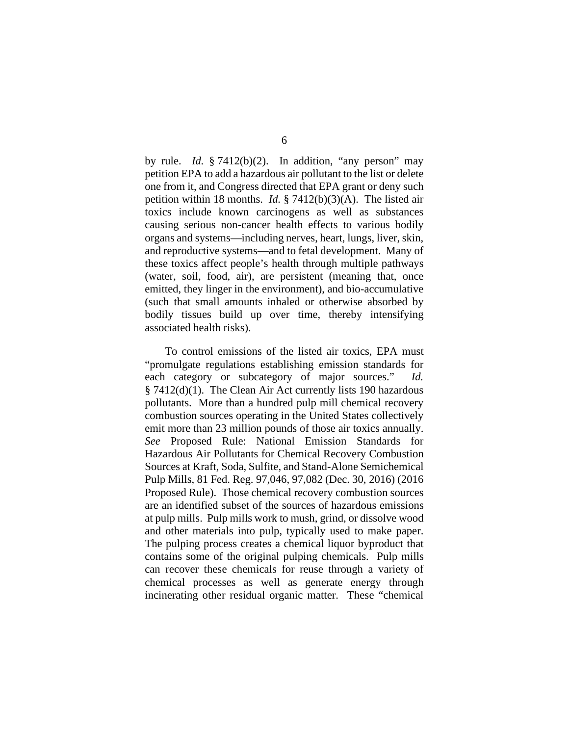by rule. *Id.* § 7412(b)(2). In addition, "any person" may petition EPA to add a hazardous air pollutant to the list or delete one from it, and Congress directed that EPA grant or deny such petition within 18 months. *Id.* § 7412(b)(3)(A). The listed air toxics include known carcinogens as well as substances causing serious non-cancer health effects to various bodily organs and systems—including nerves, heart, lungs, liver, skin, and reproductive systems—and to fetal development. Many of these toxics affect people's health through multiple pathways (water, soil, food, air), are persistent (meaning that, once emitted, they linger in the environment), and bio-accumulative (such that small amounts inhaled or otherwise absorbed by bodily tissues build up over time, thereby intensifying associated health risks).

To control emissions of the listed air toxics, EPA must "promulgate regulations establishing emission standards for each category or subcategory of major sources." *Id.*  § 7412(d)(1). The Clean Air Act currently lists 190 hazardous pollutants. More than a hundred pulp mill chemical recovery combustion sources operating in the United States collectively emit more than 23 million pounds of those air toxics annually. *See* Proposed Rule: National Emission Standards for Hazardous Air Pollutants for Chemical Recovery Combustion Sources at Kraft, Soda, Sulfite, and Stand-Alone Semichemical Pulp Mills, 81 Fed. Reg. 97,046, 97,082 (Dec. 30, 2016) (2016 Proposed Rule). Those chemical recovery combustion sources are an identified subset of the sources of hazardous emissions at pulp mills. Pulp mills work to mush, grind, or dissolve wood and other materials into pulp, typically used to make paper. The pulping process creates a chemical liquor byproduct that contains some of the original pulping chemicals. Pulp mills can recover these chemicals for reuse through a variety of chemical processes as well as generate energy through incinerating other residual organic matter. These "chemical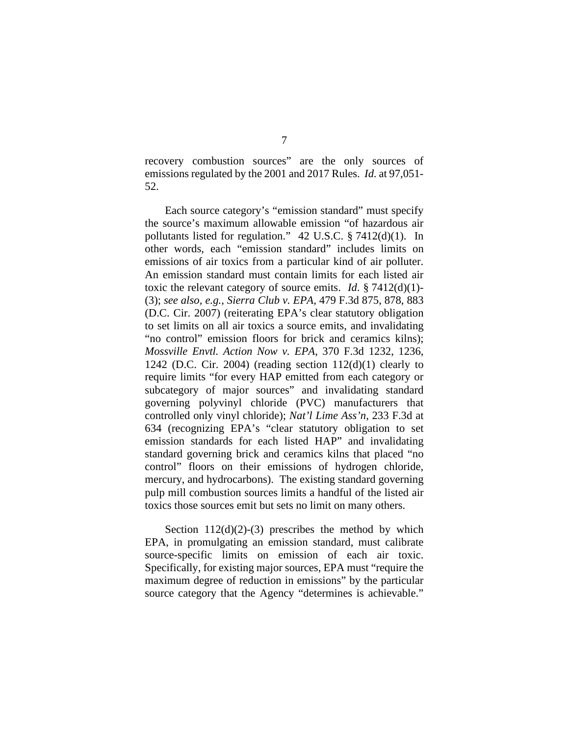recovery combustion sources" are the only sources of emissions regulated by the 2001 and 2017 Rules. *Id.* at 97,051- 52.

Each source category's "emission standard" must specify the source's maximum allowable emission "of hazardous air pollutants listed for regulation." 42 U.S.C. § 7412(d)(1). In other words, each "emission standard" includes limits on emissions of air toxics from a particular kind of air polluter. An emission standard must contain limits for each listed air toxic the relevant category of source emits. *Id*. § 7412(d)(1)- (3); *see also, e.g.*, *Sierra Club v. EPA*, 479 F.3d 875, 878, 883 (D.C. Cir. 2007) (reiterating EPA's clear statutory obligation to set limits on all air toxics a source emits, and invalidating "no control" emission floors for brick and ceramics kilns); *Mossville Envtl. Action Now v. EPA*, 370 F.3d 1232, 1236, 1242 (D.C. Cir. 2004) (reading section  $112(d)(1)$  clearly to require limits "for every HAP emitted from each category or subcategory of major sources" and invalidating standard governing polyvinyl chloride (PVC) manufacturers that controlled only vinyl chloride); *Nat'l Lime Ass'n*, 233 F.3d at 634 (recognizing EPA's "clear statutory obligation to set emission standards for each listed HAP" and invalidating standard governing brick and ceramics kilns that placed "no control" floors on their emissions of hydrogen chloride, mercury, and hydrocarbons). The existing standard governing pulp mill combustion sources limits a handful of the listed air toxics those sources emit but sets no limit on many others.

Section  $112(d)(2)-(3)$  prescribes the method by which EPA, in promulgating an emission standard, must calibrate source-specific limits on emission of each air toxic. Specifically, for existing major sources, EPA must "require the maximum degree of reduction in emissions" by the particular source category that the Agency "determines is achievable."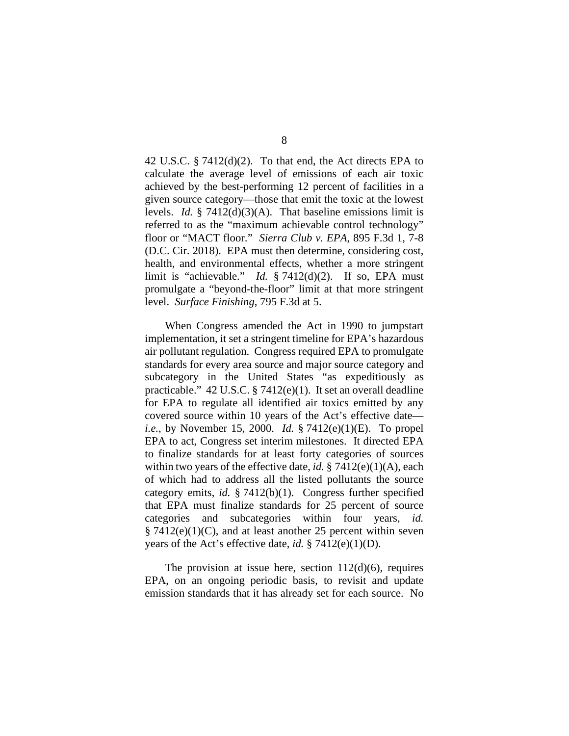42 U.S.C. § 7412(d)(2). To that end, the Act directs EPA to calculate the average level of emissions of each air toxic achieved by the best-performing 12 percent of facilities in a given source category—those that emit the toxic at the lowest levels. *Id.* § 7412(d)(3)(A). That baseline emissions limit is referred to as the "maximum achievable control technology" floor or "MACT floor." *Sierra Club v. EPA*, 895 F.3d 1, 7-8 (D.C. Cir. 2018). EPA must then determine, considering cost, health, and environmental effects, whether a more stringent limit is "achievable." *Id.* § 7412(d)(2). If so, EPA must promulgate a "beyond-the-floor" limit at that more stringent level. *Surface Finishing*, 795 F.3d at 5.

When Congress amended the Act in 1990 to jumpstart implementation, it set a stringent timeline for EPA's hazardous air pollutant regulation. Congress required EPA to promulgate standards for every area source and major source category and subcategory in the United States "as expeditiously as practicable." 42 U.S.C. § 7412(e)(1). It set an overall deadline for EPA to regulate all identified air toxics emitted by any covered source within 10 years of the Act's effective date *i.e.*, by November 15, 2000. *Id.* § 7412(e)(1)(E). To propel EPA to act, Congress set interim milestones. It directed EPA to finalize standards for at least forty categories of sources within two years of the effective date, *id.* § 7412(e)(1)(A), each of which had to address all the listed pollutants the source category emits, *id.* § 7412(b)(1). Congress further specified that EPA must finalize standards for 25 percent of source categories and subcategories within four years, *id.*   $§ 7412(e)(1)(C)$ , and at least another 25 percent within seven years of the Act's effective date, *id.* § 7412(e)(1)(D).

The provision at issue here, section  $112(d)(6)$ , requires EPA, on an ongoing periodic basis, to revisit and update emission standards that it has already set for each source. No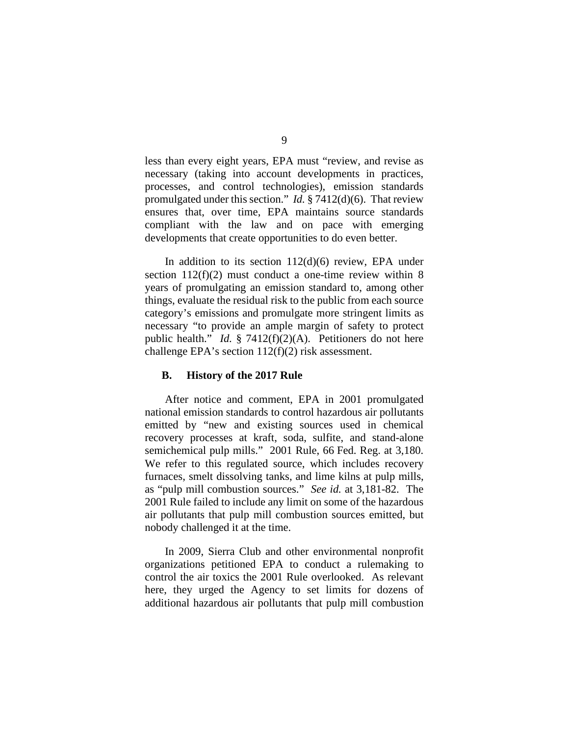less than every eight years, EPA must "review, and revise as necessary (taking into account developments in practices, processes, and control technologies), emission standards promulgated under this section." *Id.* § 7412(d)(6). That review ensures that, over time, EPA maintains source standards compliant with the law and on pace with emerging developments that create opportunities to do even better.

In addition to its section  $112(d)(6)$  review, EPA under section  $112(f)(2)$  must conduct a one-time review within 8 years of promulgating an emission standard to, among other things, evaluate the residual risk to the public from each source category's emissions and promulgate more stringent limits as necessary "to provide an ample margin of safety to protect public health." *Id.* § 7412(f)(2)(A). Petitioners do not here challenge EPA's section 112(f)(2) risk assessment.

## **B. History of the 2017 Rule**

After notice and comment, EPA in 2001 promulgated national emission standards to control hazardous air pollutants emitted by "new and existing sources used in chemical recovery processes at kraft, soda, sulfite, and stand-alone semichemical pulp mills." 2001 Rule, 66 Fed. Reg. at 3,180. We refer to this regulated source, which includes recovery furnaces, smelt dissolving tanks, and lime kilns at pulp mills, as "pulp mill combustion sources." *See id.* at 3,181-82. The 2001 Rule failed to include any limit on some of the hazardous air pollutants that pulp mill combustion sources emitted, but nobody challenged it at the time.

In 2009, Sierra Club and other environmental nonprofit organizations petitioned EPA to conduct a rulemaking to control the air toxics the 2001 Rule overlooked. As relevant here, they urged the Agency to set limits for dozens of additional hazardous air pollutants that pulp mill combustion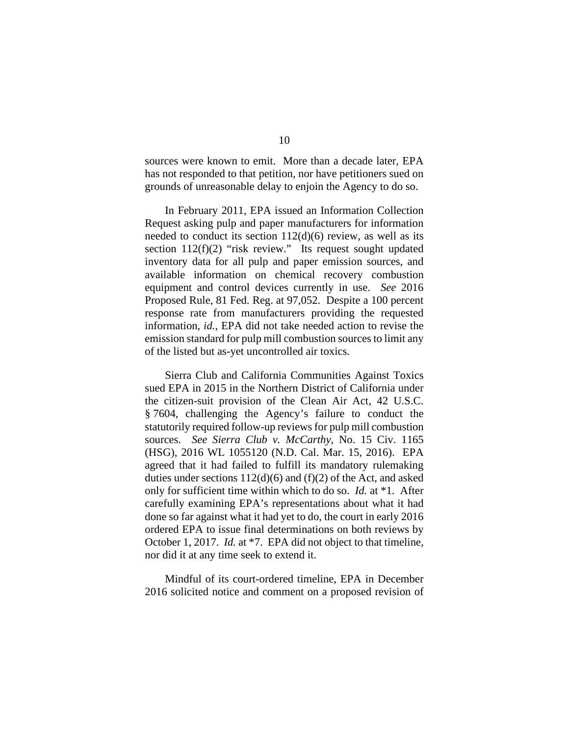sources were known to emit. More than a decade later, EPA has not responded to that petition, nor have petitioners sued on grounds of unreasonable delay to enjoin the Agency to do so.

In February 2011, EPA issued an Information Collection Request asking pulp and paper manufacturers for information needed to conduct its section  $112(d)(6)$  review, as well as its section 112(f)(2) "risk review." Its request sought updated inventory data for all pulp and paper emission sources, and available information on chemical recovery combustion equipment and control devices currently in use. *See* 2016 Proposed Rule, 81 Fed. Reg. at 97,052. Despite a 100 percent response rate from manufacturers providing the requested information, *id.*, EPA did not take needed action to revise the emission standard for pulp mill combustion sources to limit any of the listed but as-yet uncontrolled air toxics.

Sierra Club and California Communities Against Toxics sued EPA in 2015 in the Northern District of California under the citizen-suit provision of the Clean Air Act, 42 U.S.C. § 7604, challenging the Agency's failure to conduct the statutorily required follow-up reviews for pulp mill combustion sources. *See Sierra Club v. McCarthy*, No. 15 Civ. 1165 (HSG), 2016 WL 1055120 (N.D. Cal. Mar. 15, 2016). EPA agreed that it had failed to fulfill its mandatory rulemaking duties under sections  $112(d)(6)$  and  $(f)(2)$  of the Act, and asked only for sufficient time within which to do so. *Id.* at \*1. After carefully examining EPA's representations about what it had done so far against what it had yet to do, the court in early 2016 ordered EPA to issue final determinations on both reviews by October 1, 2017. *Id.* at \*7. EPA did not object to that timeline, nor did it at any time seek to extend it.

Mindful of its court-ordered timeline, EPA in December 2016 solicited notice and comment on a proposed revision of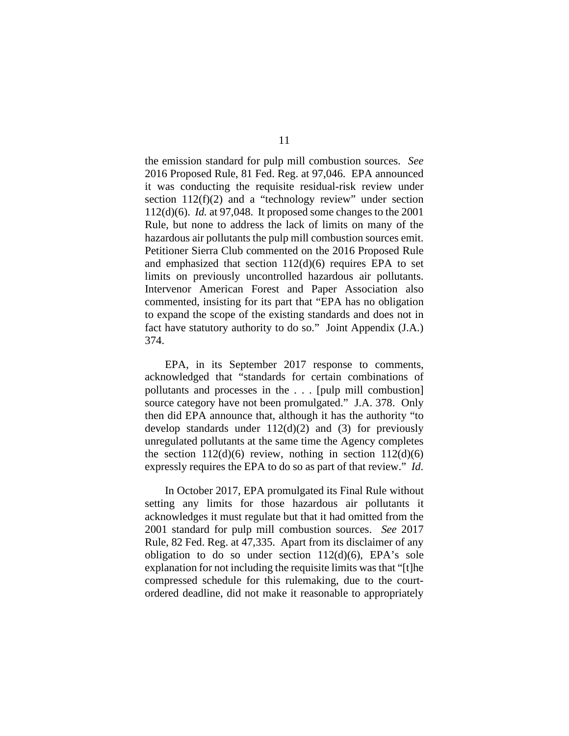the emission standard for pulp mill combustion sources. *See* 2016 Proposed Rule, 81 Fed. Reg. at 97,046. EPA announced it was conducting the requisite residual-risk review under section  $112(f)(2)$  and a "technology review" under section 112(d)(6). *Id.* at 97,048. It proposed some changes to the 2001 Rule, but none to address the lack of limits on many of the hazardous air pollutants the pulp mill combustion sources emit. Petitioner Sierra Club commented on the 2016 Proposed Rule and emphasized that section  $112(d)(6)$  requires EPA to set limits on previously uncontrolled hazardous air pollutants. Intervenor American Forest and Paper Association also commented, insisting for its part that "EPA has no obligation to expand the scope of the existing standards and does not in fact have statutory authority to do so." Joint Appendix (J.A.) 374.

EPA, in its September 2017 response to comments, acknowledged that "standards for certain combinations of pollutants and processes in the . . . [pulp mill combustion] source category have not been promulgated." J.A. 378. Only then did EPA announce that, although it has the authority "to develop standards under  $112(d)(2)$  and (3) for previously unregulated pollutants at the same time the Agency completes the section  $112(d)(6)$  review, nothing in section  $112(d)(6)$ expressly requires the EPA to do so as part of that review." *Id*.

In October 2017, EPA promulgated its Final Rule without setting any limits for those hazardous air pollutants it acknowledges it must regulate but that it had omitted from the 2001 standard for pulp mill combustion sources. *See* 2017 Rule, 82 Fed. Reg. at 47,335. Apart from its disclaimer of any obligation to do so under section  $112(d)(6)$ , EPA's sole explanation for not including the requisite limits was that "[t]he compressed schedule for this rulemaking, due to the courtordered deadline, did not make it reasonable to appropriately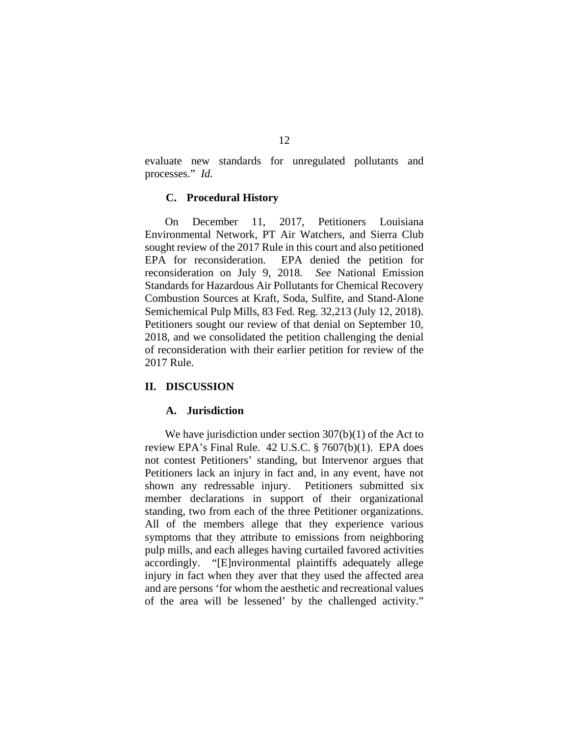evaluate new standards for unregulated pollutants and processes." *Id.*

#### **C. Procedural History**

On December 11, 2017, Petitioners Louisiana Environmental Network, PT Air Watchers, and Sierra Club sought review of the 2017 Rule in this court and also petitioned EPA for reconsideration.EPA denied the petition for reconsideration on July 9, 2018. *See* National Emission Standards for Hazardous Air Pollutants for Chemical Recovery Combustion Sources at Kraft, Soda, Sulfite, and Stand-Alone Semichemical Pulp Mills, 83 Fed. Reg. 32,213 (July 12, 2018). Petitioners sought our review of that denial on September 10, 2018, and we consolidated the petition challenging the denial of reconsideration with their earlier petition for review of the 2017 Rule.

#### **II. DISCUSSION**

### **A. Jurisdiction**

We have jurisdiction under section 307(b)(1) of the Act to review EPA's Final Rule. 42 U.S.C. § 7607(b)(1). EPA does not contest Petitioners' standing, but Intervenor argues that Petitioners lack an injury in fact and, in any event, have not shown any redressable injury. Petitioners submitted six member declarations in support of their organizational standing, two from each of the three Petitioner organizations. All of the members allege that they experience various symptoms that they attribute to emissions from neighboring pulp mills, and each alleges having curtailed favored activities accordingly. "[E]nvironmental plaintiffs adequately allege injury in fact when they aver that they used the affected area and are persons 'for whom the aesthetic and recreational values of the area will be lessened' by the challenged activity."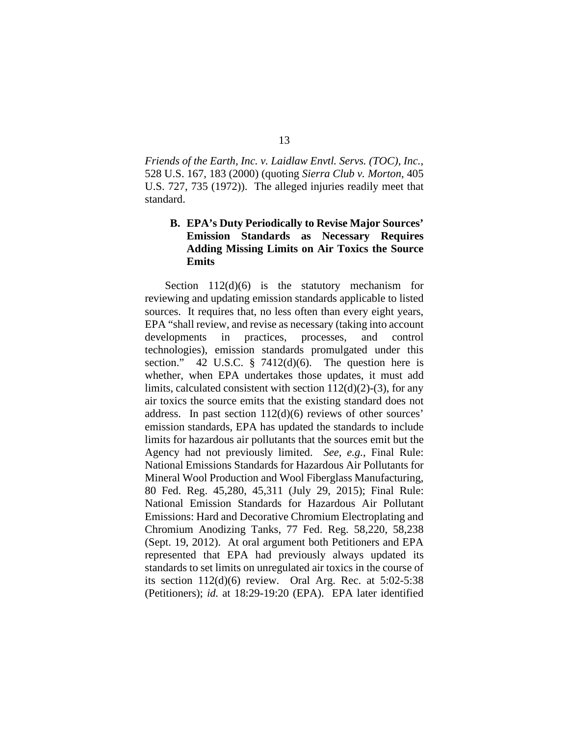*Friends of the Earth, Inc. v. Laidlaw Envtl. Servs. (TOC), Inc.*, 528 U.S. 167, 183 (2000) (quoting *Sierra Club v. Morton*, 405 U.S. 727, 735 (1972)). The alleged injuries readily meet that standard.

# **B. EPA's Duty Periodically to Revise Major Sources' Emission Standards as Necessary Requires Adding Missing Limits on Air Toxics the Source Emits**

Section  $112(d)(6)$  is the statutory mechanism for reviewing and updating emission standards applicable to listed sources. It requires that, no less often than every eight years, EPA "shall review, and revise as necessary (taking into account developments in practices, processes, and control technologies), emission standards promulgated under this section." 42 U.S.C.  $\S$  7412(d)(6). The question here is whether, when EPA undertakes those updates, it must add limits, calculated consistent with section  $112(d)(2)-(3)$ , for any air toxics the source emits that the existing standard does not address. In past section 112(d)(6) reviews of other sources' emission standards, EPA has updated the standards to include limits for hazardous air pollutants that the sources emit but the Agency had not previously limited. *See, e.g.*, Final Rule: National Emissions Standards for Hazardous Air Pollutants for Mineral Wool Production and Wool Fiberglass Manufacturing, 80 Fed. Reg. 45,280, 45,311 (July 29, 2015); Final Rule: National Emission Standards for Hazardous Air Pollutant Emissions: Hard and Decorative Chromium Electroplating and Chromium Anodizing Tanks, 77 Fed. Reg. 58,220, 58,238 (Sept. 19, 2012). At oral argument both Petitioners and EPA represented that EPA had previously always updated its standards to set limits on unregulated air toxics in the course of its section  $112(d)(6)$  review. Oral Arg. Rec. at  $5:02-5:38$ (Petitioners); *id.* at 18:29-19:20 (EPA). EPA later identified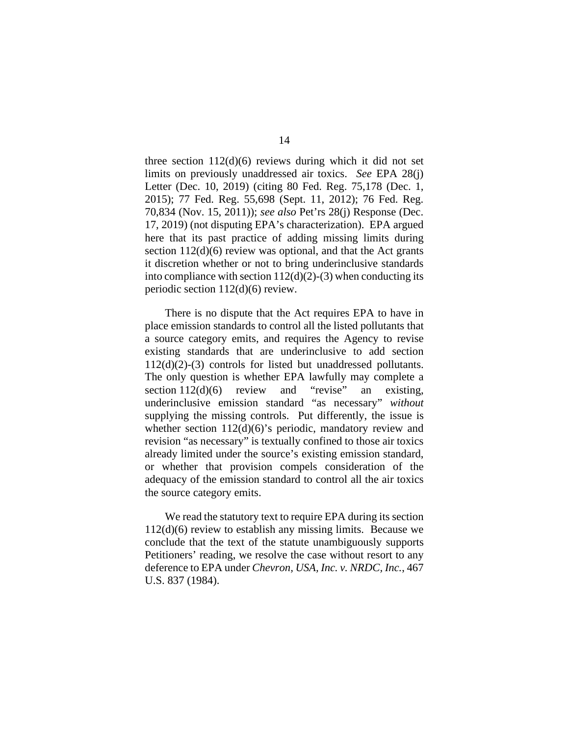three section  $112(d)(6)$  reviews during which it did not set limits on previously unaddressed air toxics. *See* EPA 28(j) Letter (Dec. 10, 2019) (citing 80 Fed. Reg. 75,178 (Dec. 1, 2015); 77 Fed. Reg. 55,698 (Sept. 11, 2012); 76 Fed. Reg. 70,834 (Nov. 15, 2011)); *see also* Pet'rs 28(j) Response (Dec. 17, 2019) (not disputing EPA's characterization). EPA argued here that its past practice of adding missing limits during section 112(d)(6) review was optional, and that the Act grants it discretion whether or not to bring underinclusive standards into compliance with section  $112(d)(2)-(3)$  when conducting its periodic section 112(d)(6) review.

There is no dispute that the Act requires EPA to have in place emission standards to control all the listed pollutants that a source category emits, and requires the Agency to revise existing standards that are underinclusive to add section 112(d)(2)-(3) controls for listed but unaddressed pollutants. The only question is whether EPA lawfully may complete a section 112(d)(6) review and "revise" an existing, underinclusive emission standard "as necessary" *without* supplying the missing controls. Put differently, the issue is whether section 112(d)(6)'s periodic, mandatory review and revision "as necessary" is textually confined to those air toxics already limited under the source's existing emission standard, or whether that provision compels consideration of the adequacy of the emission standard to control all the air toxics the source category emits.

We read the statutory text to require EPA during its section 112(d)(6) review to establish any missing limits. Because we conclude that the text of the statute unambiguously supports Petitioners' reading, we resolve the case without resort to any deference to EPA under *Chevron, USA, Inc. v. NRDC, Inc.*, 467 U.S. 837 (1984).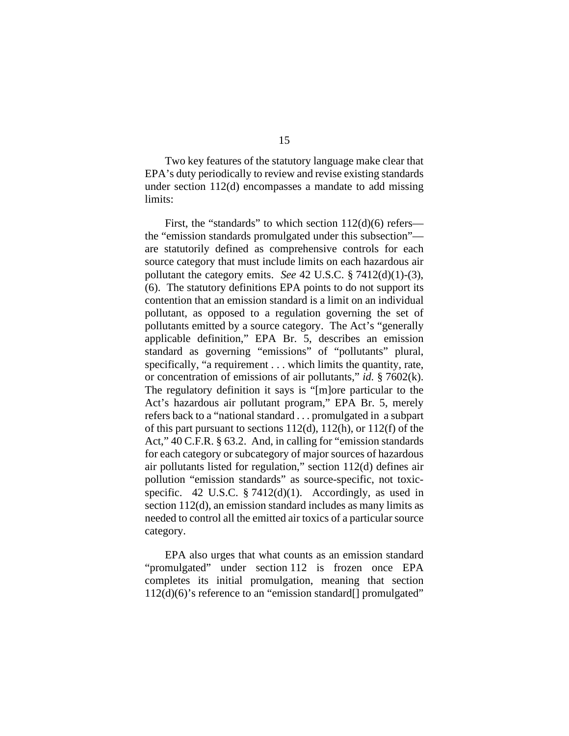Two key features of the statutory language make clear that EPA's duty periodically to review and revise existing standards under section 112(d) encompasses a mandate to add missing limits:

First, the "standards" to which section 112(d)(6) refers the "emission standards promulgated under this subsection" are statutorily defined as comprehensive controls for each source category that must include limits on each hazardous air pollutant the category emits. *See* 42 U.S.C. § 7412(d)(1)-(3), (6). The statutory definitions EPA points to do not support its contention that an emission standard is a limit on an individual pollutant, as opposed to a regulation governing the set of pollutants emitted by a source category. The Act's "generally applicable definition," EPA Br. 5, describes an emission standard as governing "emissions" of "pollutants" plural, specifically, "a requirement . . . which limits the quantity, rate, or concentration of emissions of air pollutants," *id.* § 7602(k). The regulatory definition it says is "[m]ore particular to the Act's hazardous air pollutant program," EPA Br. 5, merely refers back to a "national standard . . . promulgated in a subpart of this part pursuant to sections 112(d), 112(h), or 112(f) of the Act," 40 C.F.R. § 63.2. And, in calling for "emission standards for each category or subcategory of major sources of hazardous air pollutants listed for regulation," section 112(d) defines air pollution "emission standards" as source-specific, not toxicspecific. 42 U.S.C.  $\S 7412(d)(1)$ . Accordingly, as used in section 112(d), an emission standard includes as many limits as needed to control all the emitted air toxics of a particular source category.

EPA also urges that what counts as an emission standard "promulgated" under section 112 is frozen once EPA completes its initial promulgation, meaning that section 112(d)(6)'s reference to an "emission standard[] promulgated"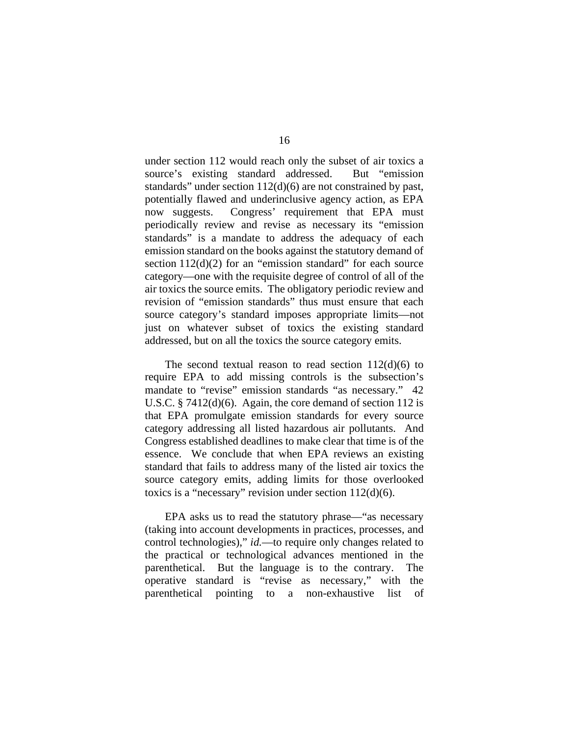under section 112 would reach only the subset of air toxics a source's existing standard addressed. But "emission standards" under section 112(d)(6) are not constrained by past, potentially flawed and underinclusive agency action, as EPA now suggests. Congress' requirement that EPA must periodically review and revise as necessary its "emission standards" is a mandate to address the adequacy of each emission standard on the books against the statutory demand of section  $112(d)(2)$  for an "emission standard" for each source category—one with the requisite degree of control of all of the air toxics the source emits. The obligatory periodic review and revision of "emission standards" thus must ensure that each source category's standard imposes appropriate limits—not just on whatever subset of toxics the existing standard addressed, but on all the toxics the source category emits.

The second textual reason to read section  $112(d)(6)$  to require EPA to add missing controls is the subsection's mandate to "revise" emission standards "as necessary." 42 U.S.C. § 7412(d)(6). Again, the core demand of section 112 is that EPA promulgate emission standards for every source category addressing all listed hazardous air pollutants. And Congress established deadlines to make clear that time is of the essence. We conclude that when EPA reviews an existing standard that fails to address many of the listed air toxics the source category emits, adding limits for those overlooked toxics is a "necessary" revision under section 112(d)(6).

EPA asks us to read the statutory phrase—"as necessary (taking into account developments in practices, processes, and control technologies)," *id.*—to require only changes related to the practical or technological advances mentioned in the parenthetical. But the language is to the contrary. The operative standard is "revise as necessary," with the parenthetical pointing to a non-exhaustive list of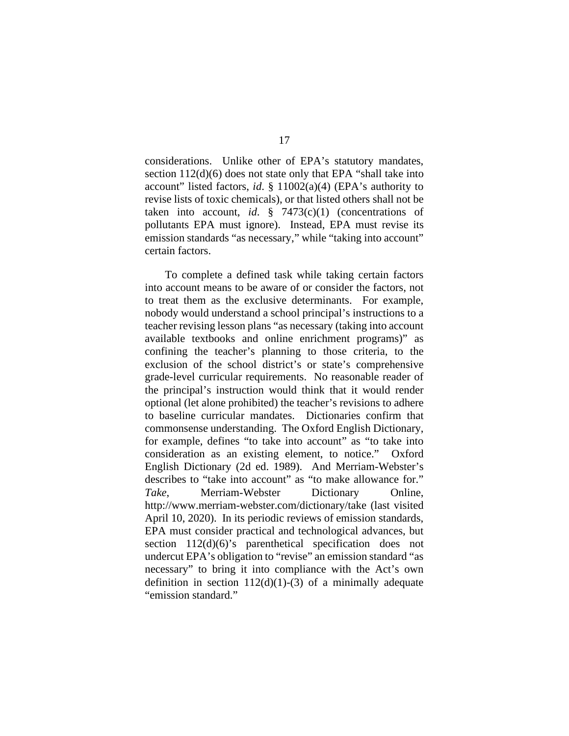considerations. Unlike other of EPA's statutory mandates, section 112(d)(6) does not state only that EPA "shall take into account" listed factors, *id*. § 11002(a)(4) (EPA's authority to revise lists of toxic chemicals), or that listed others shall not be taken into account, *id*.  $\frac{1}{2}$  7473(c)(1) (concentrations of pollutants EPA must ignore). Instead, EPA must revise its emission standards "as necessary," while "taking into account" certain factors.

To complete a defined task while taking certain factors into account means to be aware of or consider the factors, not to treat them as the exclusive determinants. For example, nobody would understand a school principal's instructions to a teacher revising lesson plans "as necessary (taking into account available textbooks and online enrichment programs)" as confining the teacher's planning to those criteria, to the exclusion of the school district's or state's comprehensive grade-level curricular requirements. No reasonable reader of the principal's instruction would think that it would render optional (let alone prohibited) the teacher's revisions to adhere to baseline curricular mandates. Dictionaries confirm that commonsense understanding. The Oxford English Dictionary, for example, defines "to take into account" as "to take into consideration as an existing element, to notice." Oxford English Dictionary (2d ed. 1989). And Merriam-Webster's describes to "take into account" as "to make allowance for." *Take*, Merriam-Webster Dictionary Online, http://www.merriam-webster.com/dictionary/take (last visited April 10, 2020). In its periodic reviews of emission standards, EPA must consider practical and technological advances, but section 112(d)(6)'s parenthetical specification does not undercut EPA's obligation to "revise" an emission standard "as necessary" to bring it into compliance with the Act's own definition in section  $112(d)(1)-(3)$  of a minimally adequate "emission standard."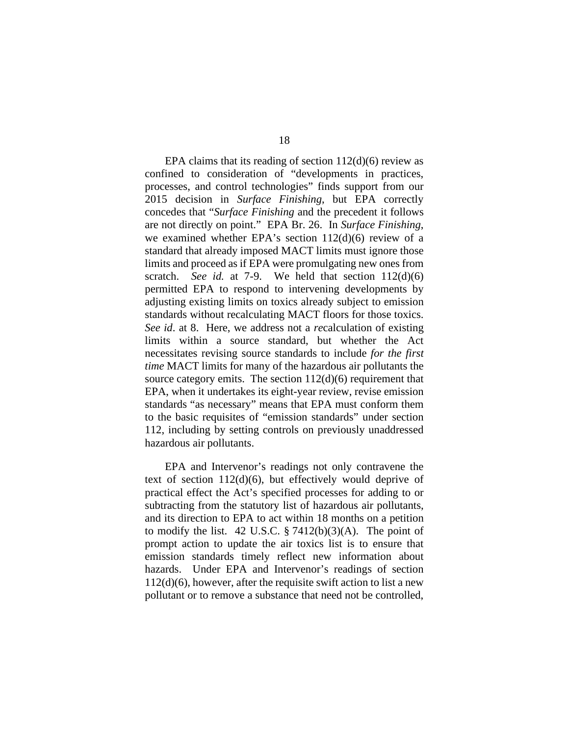EPA claims that its reading of section  $112(d)(6)$  review as confined to consideration of "developments in practices, processes, and control technologies" finds support from our 2015 decision in *Surface Finishing*, but EPA correctly concedes that "*Surface Finishing* and the precedent it follows are not directly on point." EPA Br. 26. In *Surface Finishing*, we examined whether EPA's section 112(d)(6) review of a standard that already imposed MACT limits must ignore those limits and proceed as if EPA were promulgating new ones from scratch. *See id.* at 7-9. We held that section 112(d)(6) permitted EPA to respond to intervening developments by adjusting existing limits on toxics already subject to emission standards without recalculating MACT floors for those toxics. *See id*. at 8.Here, we address not a *re*calculation of existing limits within a source standard, but whether the Act necessitates revising source standards to include *for the first time* MACT limits for many of the hazardous air pollutants the source category emits. The section  $112(d)(6)$  requirement that EPA, when it undertakes its eight-year review, revise emission standards "as necessary" means that EPA must conform them to the basic requisites of "emission standards" under section 112, including by setting controls on previously unaddressed hazardous air pollutants.

EPA and Intervenor's readings not only contravene the text of section 112(d)(6), but effectively would deprive of practical effect the Act's specified processes for adding to or subtracting from the statutory list of hazardous air pollutants, and its direction to EPA to act within 18 months on a petition to modify the list. 42 U.S.C.  $\S 7412(b)(3)(A)$ . The point of prompt action to update the air toxics list is to ensure that emission standards timely reflect new information about hazards. Under EPA and Intervenor's readings of section  $112(d)(6)$ , however, after the requisite swift action to list a new pollutant or to remove a substance that need not be controlled,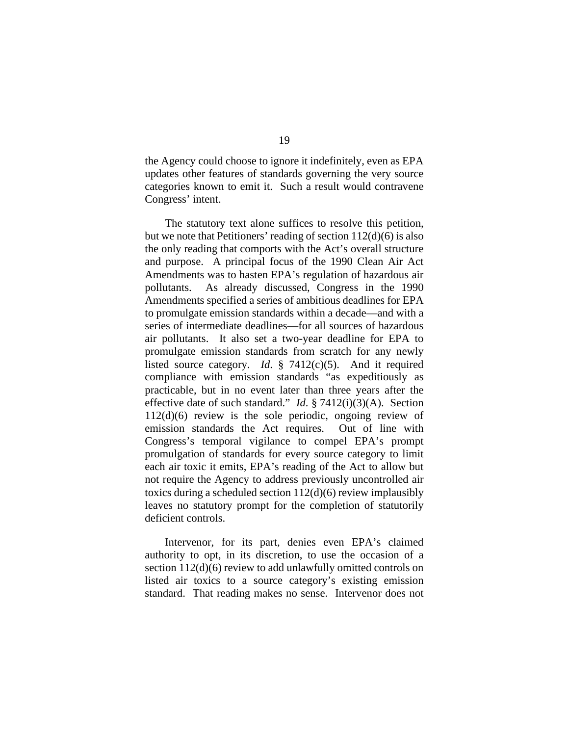the Agency could choose to ignore it indefinitely, even as EPA updates other features of standards governing the very source categories known to emit it. Such a result would contravene Congress' intent.

The statutory text alone suffices to resolve this petition, but we note that Petitioners' reading of section 112(d)(6) is also the only reading that comports with the Act's overall structure and purpose. A principal focus of the 1990 Clean Air Act Amendments was to hasten EPA's regulation of hazardous air pollutants. As already discussed, Congress in the 1990 Amendments specified a series of ambitious deadlines for EPA to promulgate emission standards within a decade—and with a series of intermediate deadlines—for all sources of hazardous air pollutants. It also set a two-year deadline for EPA to promulgate emission standards from scratch for any newly listed source category. *Id*. § 7412(c)(5). And it required compliance with emission standards "as expeditiously as practicable, but in no event later than three years after the effective date of such standard." *Id*. § 7412(i)(3)(A). Section 112(d)(6) review is the sole periodic, ongoing review of emission standards the Act requires. Out of line with Congress's temporal vigilance to compel EPA's prompt promulgation of standards for every source category to limit each air toxic it emits, EPA's reading of the Act to allow but not require the Agency to address previously uncontrolled air toxics during a scheduled section 112(d)(6) review implausibly leaves no statutory prompt for the completion of statutorily deficient controls.

Intervenor, for its part, denies even EPA's claimed authority to opt, in its discretion, to use the occasion of a section  $112(d)(6)$  review to add unlawfully omitted controls on listed air toxics to a source category's existing emission standard. That reading makes no sense. Intervenor does not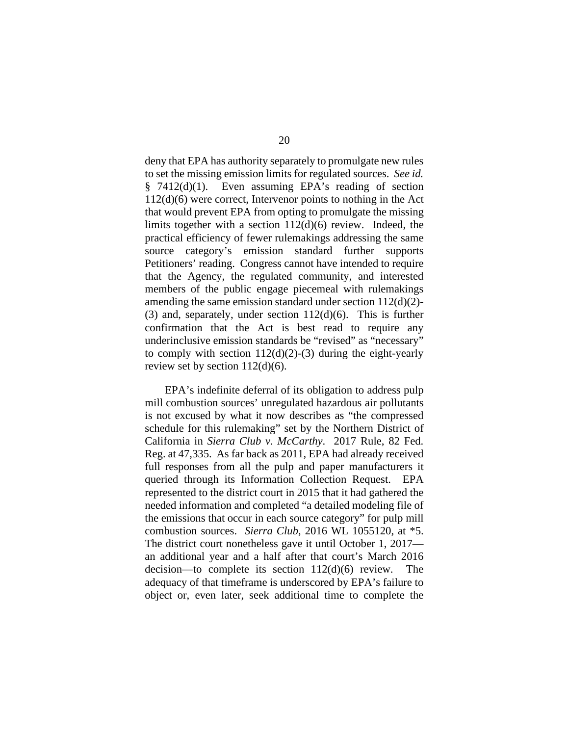deny that EPA has authority separately to promulgate new rules to set the missing emission limits for regulated sources. *See id.*  § 7412(d)(1). Even assuming EPA's reading of section 112(d)(6) were correct, Intervenor points to nothing in the Act that would prevent EPA from opting to promulgate the missing limits together with a section 112(d)(6) review. Indeed, the practical efficiency of fewer rulemakings addressing the same source category's emission standard further supports Petitioners' reading. Congress cannot have intended to require that the Agency, the regulated community, and interested members of the public engage piecemeal with rulemakings amending the same emission standard under section 112(d)(2)- (3) and, separately, under section 112(d)(6). This is further confirmation that the Act is best read to require any underinclusive emission standards be "revised" as "necessary" to comply with section  $112(d)(2)-(3)$  during the eight-yearly review set by section 112(d)(6).

EPA's indefinite deferral of its obligation to address pulp mill combustion sources' unregulated hazardous air pollutants is not excused by what it now describes as "the compressed schedule for this rulemaking" set by the Northern District of California in *Sierra Club v. McCarthy*. 2017 Rule, 82 Fed. Reg. at 47,335. As far back as 2011, EPA had already received full responses from all the pulp and paper manufacturers it queried through its Information Collection Request. EPA represented to the district court in 2015 that it had gathered the needed information and completed "a detailed modeling file of the emissions that occur in each source category" for pulp mill combustion sources. *Sierra Club*, 2016 WL 1055120, at \*5. The district court nonetheless gave it until October 1, 2017 an additional year and a half after that court's March 2016 decision—to complete its section 112(d)(6) review. The adequacy of that timeframe is underscored by EPA's failure to object or, even later, seek additional time to complete the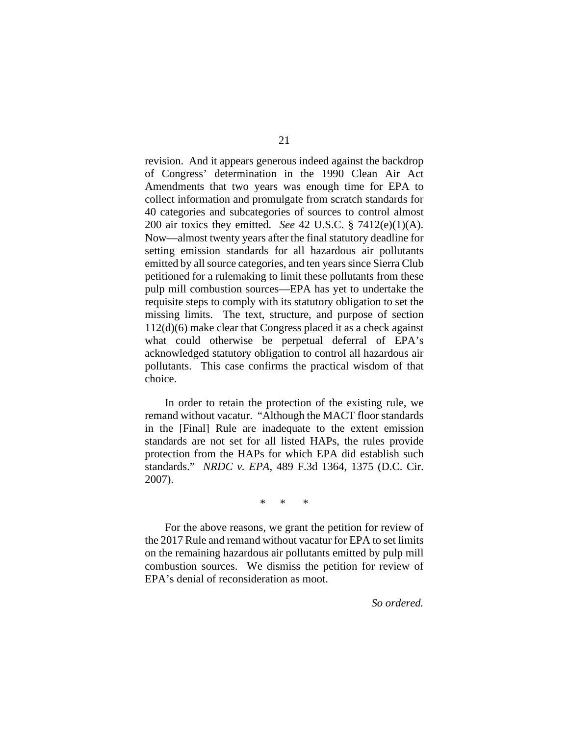revision. And it appears generous indeed against the backdrop of Congress' determination in the 1990 Clean Air Act Amendments that two years was enough time for EPA to collect information and promulgate from scratch standards for 40 categories and subcategories of sources to control almost 200 air toxics they emitted. *See* 42 U.S.C. § 7412(e)(1)(A). Now—almost twenty years after the final statutory deadline for setting emission standards for all hazardous air pollutants emitted by all source categories, and ten years since Sierra Club petitioned for a rulemaking to limit these pollutants from these pulp mill combustion sources—EPA has yet to undertake the requisite steps to comply with its statutory obligation to set the missing limits. The text, structure, and purpose of section 112(d)(6) make clear that Congress placed it as a check against what could otherwise be perpetual deferral of EPA's acknowledged statutory obligation to control all hazardous air pollutants. This case confirms the practical wisdom of that choice.

In order to retain the protection of the existing rule, we remand without vacatur. "Although the MACT floor standards in the [Final] Rule are inadequate to the extent emission standards are not set for all listed HAPs, the rules provide protection from the HAPs for which EPA did establish such standards." *NRDC v. EPA*, 489 F.3d 1364, 1375 (D.C. Cir. 2007).

\* \* \*

For the above reasons, we grant the petition for review of the 2017 Rule and remand without vacatur for EPA to set limits on the remaining hazardous air pollutants emitted by pulp mill combustion sources. We dismiss the petition for review of EPA's denial of reconsideration as moot.

*So ordered.*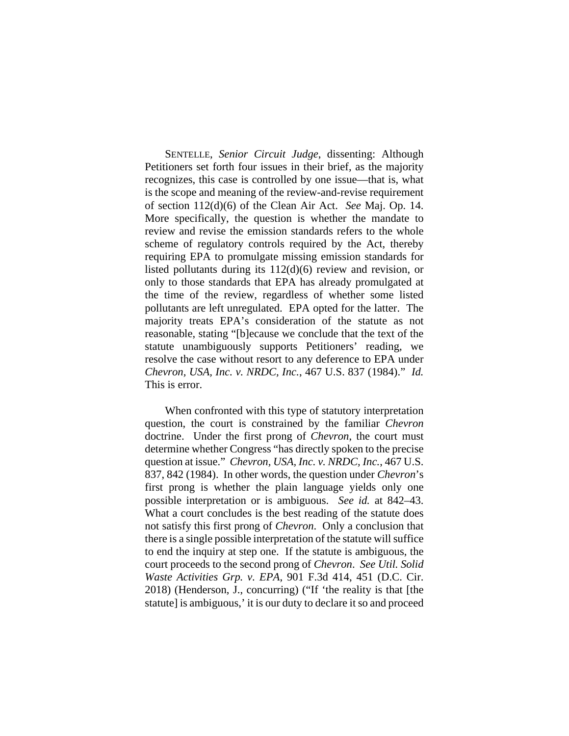SENTELLE, *Senior Circuit Judge*, dissenting: Although Petitioners set forth four issues in their brief, as the majority recognizes, this case is controlled by one issue—that is, what is the scope and meaning of the review-and-revise requirement of section 112(d)(6) of the Clean Air Act. *See* Maj. Op. 14. More specifically, the question is whether the mandate to review and revise the emission standards refers to the whole scheme of regulatory controls required by the Act, thereby requiring EPA to promulgate missing emission standards for listed pollutants during its 112(d)(6) review and revision, or only to those standards that EPA has already promulgated at the time of the review, regardless of whether some listed pollutants are left unregulated. EPA opted for the latter. The majority treats EPA's consideration of the statute as not reasonable, stating "[b]ecause we conclude that the text of the statute unambiguously supports Petitioners' reading, we resolve the case without resort to any deference to EPA under *Chevron, USA, Inc. v. NRDC, Inc.*, 467 U.S. 837 (1984)." *Id.* This is error.

When confronted with this type of statutory interpretation question, the court is constrained by the familiar *Chevron*  doctrine. Under the first prong of *Chevron*, the court must determine whether Congress "has directly spoken to the precise question at issue." *Chevron, USA, Inc. v. NRDC, Inc.*, 467 U.S. 837, 842 (1984). In other words, the question under *Chevron*'s first prong is whether the plain language yields only one possible interpretation or is ambiguous. *See id.* at 842–43. What a court concludes is the best reading of the statute does not satisfy this first prong of *Chevron*. Only a conclusion that there is a single possible interpretation of the statute will suffice to end the inquiry at step one. If the statute is ambiguous, the court proceeds to the second prong of *Chevron*. *See Util. Solid Waste Activities Grp. v. EPA*, 901 F.3d 414, 451 (D.C. Cir. 2018) (Henderson, J., concurring) ("If 'the reality is that [the statute] is ambiguous,' it is our duty to declare it so and proceed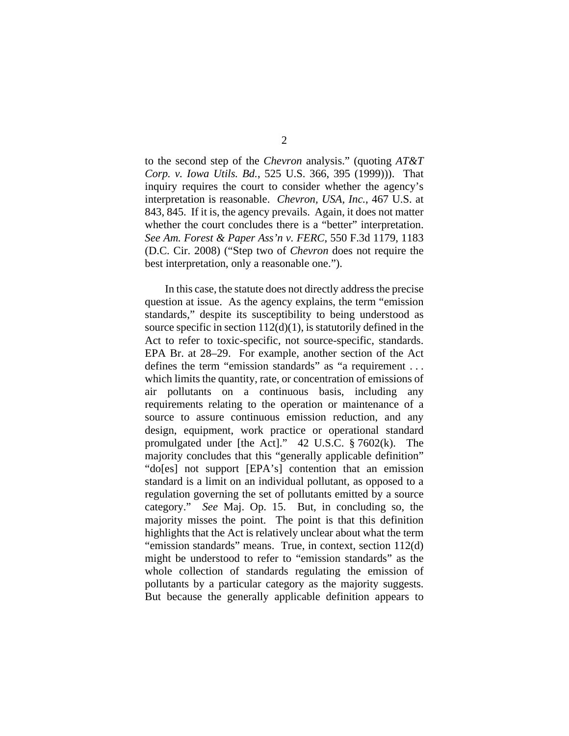to the second step of the *Chevron* analysis." (quoting *AT&T Corp. v. Iowa Utils. Bd.*, 525 U.S. 366, 395 (1999))). That inquiry requires the court to consider whether the agency's interpretation is reasonable. *Chevron, USA, Inc.*, 467 U.S. at 843, 845. If it is, the agency prevails. Again, it does not matter whether the court concludes there is a "better" interpretation. *See Am. Forest & Paper Ass'n v. FERC*, 550 F.3d 1179, 1183 (D.C. Cir. 2008) ("Step two of *Chevron* does not require the best interpretation, only a reasonable one.").

In this case, the statute does not directly address the precise question at issue. As the agency explains, the term "emission standards," despite its susceptibility to being understood as source specific in section  $112(d)(1)$ , is statutorily defined in the Act to refer to toxic-specific, not source-specific, standards. EPA Br. at 28–29. For example, another section of the Act defines the term "emission standards" as "a requirement ... which limits the quantity, rate, or concentration of emissions of air pollutants on a continuous basis, including any requirements relating to the operation or maintenance of a source to assure continuous emission reduction, and any design, equipment, work practice or operational standard promulgated under [the Act]." 42 U.S.C. § 7602(k). The majority concludes that this "generally applicable definition" "do[es] not support [EPA's] contention that an emission standard is a limit on an individual pollutant, as opposed to a regulation governing the set of pollutants emitted by a source category." *See* Maj. Op. 15. But, in concluding so, the majority misses the point. The point is that this definition highlights that the Act is relatively unclear about what the term "emission standards" means. True, in context, section 112(d) might be understood to refer to "emission standards" as the whole collection of standards regulating the emission of pollutants by a particular category as the majority suggests. But because the generally applicable definition appears to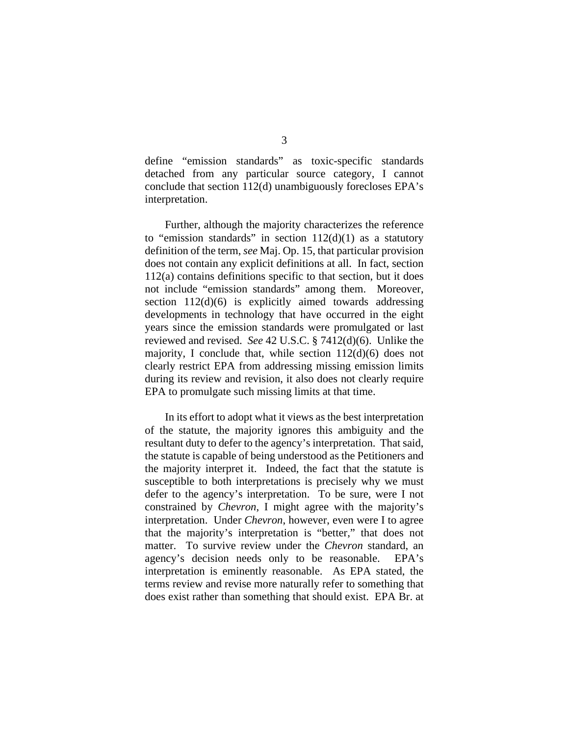define "emission standards" as toxic-specific standards detached from any particular source category, I cannot conclude that section 112(d) unambiguously forecloses EPA's interpretation.

Further, although the majority characterizes the reference to "emission standards" in section  $112(d)(1)$  as a statutory definition of the term, *see* Maj. Op. 15, that particular provision does not contain any explicit definitions at all. In fact, section 112(a) contains definitions specific to that section, but it does not include "emission standards" among them. Moreover, section  $112(d)(6)$  is explicitly aimed towards addressing developments in technology that have occurred in the eight years since the emission standards were promulgated or last reviewed and revised. *See* 42 U.S.C. § 7412(d)(6). Unlike the majority, I conclude that, while section 112(d)(6) does not clearly restrict EPA from addressing missing emission limits during its review and revision, it also does not clearly require EPA to promulgate such missing limits at that time.

In its effort to adopt what it views as the best interpretation of the statute, the majority ignores this ambiguity and the resultant duty to defer to the agency's interpretation. That said, the statute is capable of being understood as the Petitioners and the majority interpret it. Indeed, the fact that the statute is susceptible to both interpretations is precisely why we must defer to the agency's interpretation. To be sure, were I not constrained by *Chevron*, I might agree with the majority's interpretation. Under *Chevron*, however, even were I to agree that the majority's interpretation is "better," that does not matter. To survive review under the *Chevron* standard, an agency's decision needs only to be reasonable. EPA's interpretation is eminently reasonable. As EPA stated, the terms review and revise more naturally refer to something that does exist rather than something that should exist. EPA Br. at